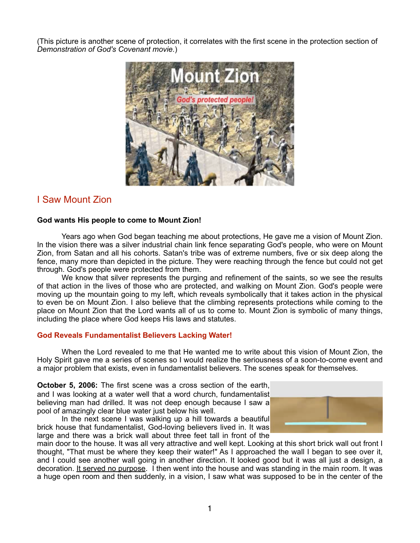(This picture is another scene of protection, it correlates with the first scene in the protection section of *Demonstration of God's Covenant movie.*)



## I Saw Mount Zion

### **God wants His people to come to Mount Zion!**

 Years ago when God began teaching me about protections, He gave me a vision of Mount Zion. In the vision there was a silver industrial chain link fence separating God's people, who were on Mount Zion, from Satan and all his cohorts. Satan's tribe was of extreme numbers, five or six deep along the fence, many more than depicted in the picture. They were reaching through the fence but could not get through. God's people were protected from them.

 We know that silver represents the purging and refinement of the saints, so we see the results of that action in the lives of those who are protected, and walking on Mount Zion. God's people were moving up the mountain going to my left, which reveals symbolically that it takes action in the physical to even be on Mount Zion. I also believe that the climbing represents protections while coming to the place on Mount Zion that the Lord wants all of us to come to. Mount Zion is symbolic of many things, including the place where God keeps His laws and statutes.

### **God Reveals Fundamentalist Believers Lacking Water!**

 When the Lord revealed to me that He wanted me to write about this vision of Mount Zion, the Holy Spirit gave me a series of scenes so I would realize the seriousness of a soon-to-come event and a major problem that exists, even in fundamentalist believers. The scenes speak for themselves.

**October 5, 2006:** The first scene was a cross section of the earth, and I was looking at a water well that a word church, fundamentalist believing man had drilled. It was not deep enough because I saw a pool of amazingly clear blue water just below his well.

In the next scene I was walking up a hill towards a beautiful brick house that fundamentalist, God-loving believers lived in. It was large and there was a brick wall about three feet tall in front of the



main door to the house. It was all very attractive and well kept. Looking at this short brick wall out front I thought, "That must be where they keep their water!" As I approached the wall I began to see over it, and I could see another wall going in another direction. It looked good but it was all just a design, a decoration. It served no purpose. I then went into the house and was standing in the main room. It was a huge open room and then suddenly, in a vision, I saw what was supposed to be in the center of the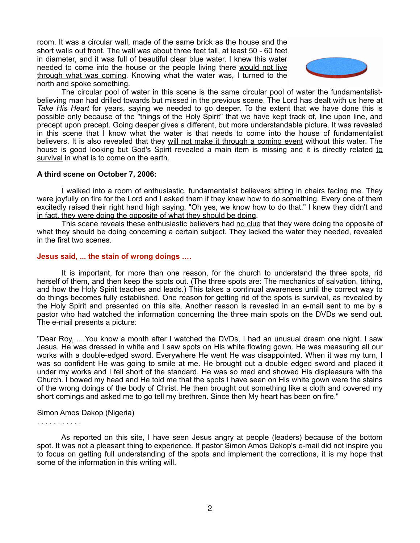room. It was a circular wall, made of the same brick as the house and the short walls out front. The wall was about three feet tall, at least 50 - 60 feet in diameter, and it was full of beautiful clear blue water. I knew this water needed to come into the house or the people living there would not live through what was coming. Knowing what the water was, I turned to the north and spoke something.



 The circular pool of water in this scene is the same circular pool of water the fundamentalistbelieving man had drilled towards but missed in the previous scene. The Lord has dealt with us here at *Take His Heart* for years, saying we needed to go deeper. To the extent that we have done this is possible only because of the "things of the Holy Spirit" that we have kept track of, line upon line, and precept upon precept. Going deeper gives a different, but more understandable picture. It was revealed in this scene that I know what the water is that needs to come into the house of fundamentalist believers. It is also revealed that they will not make it through a coming event without this water. The house is good looking but God's Spirit revealed a main item is missing and it is directly related to survival in what is to come on the earth.

### **A third scene on October 7, 2006:**

 I walked into a room of enthusiastic, fundamentalist believers sitting in chairs facing me. They were joyfully on fire for the Lord and I asked them if they knew how to do something. Every one of them excitedly raised their right hand high saying, "Oh yes, we know how to do that." I knew they didn't and in fact, they were doing the opposite of what they should be doing.

This scene reveals these enthusiastic believers had no clue that they were doing the opposite of what they should be doing concerning a certain subject. They lacked the water they needed, revealed in the first two scenes.

### **Jesus said, ... the stain of wrong doings .…**

 It is important, for more than one reason, for the church to understand the three spots, rid herself of them, and then keep the spots out. (The three spots are: The mechanics of salvation, tithing, and how the Holy Spirit teaches and leads.) This takes a continual awareness until the correct way to do things becomes fully established. One reason for getting rid of the spots is survival, as revealed by the Holy Spirit and presented on this site. Another reason is revealed in an e-mail sent to me by a pastor who had watched the information concerning the three main spots on the DVDs we send out. The e-mail presents a picture:

"Dear Roy, ....You know a month after I watched the DVDs, I had an unusual dream one night. I saw Jesus. He was dressed in white and I saw spots on His white flowing gown. He was measuring all our works with a double-edged sword. Everywhere He went He was disappointed. When it was my turn, I was so confident He was going to smile at me. He brought out a double edged sword and placed it under my works and I fell short of the standard. He was so mad and showed His displeasure with the Church. I bowed my head and He told me that the spots I have seen on His white gown were the stains of the wrong doings of the body of Christ. He then brought out something like a cloth and covered my short comings and asked me to go tell my brethren. Since then My heart has been on fire."

### Simon Amos Dakop (Nigeria)

. . . . . . . . . . .

 As reported on this site, I have seen Jesus angry at people (leaders) because of the bottom spot. It was not a pleasant thing to experience. If pastor Simon Amos Dakop's e-mail did not inspire you to focus on getting full understanding of the spots and implement the corrections, it is my hope that some of the information in this writing will.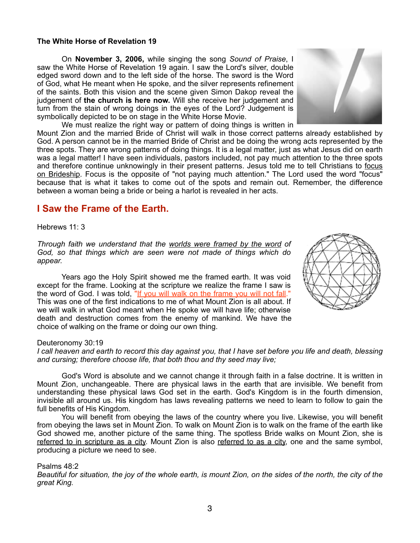### **The White Horse of Revelation 19**

 On **November 3, 2006,** while singing the song *Sound of Praise*, I saw the White Horse of Revelation 19 again. I saw the Lord's silver, double edged sword down and to the left side of the horse. The sword is the Word of God, what He meant when He spoke, and the silver represents refinement of the saints. Both this vision and the scene given Simon Dakop reveal the judgement of **the church is here now.** Will she receive her judgement and turn from the stain of wrong doings in the eyes of the Lord? Judgement is symbolically depicted to be on stage in the White Horse Movie.

 We must realize the right way or pattern of doing things is written in Mount Zion and the married Bride of Christ will walk in those correct patterns already established by God. A person cannot be in the married Bride of Christ and be doing the wrong acts represented by the three spots. They are wrong patterns of doing things. It is a legal matter, just as what Jesus did on earth was a legal matter! I have seen individuals, pastors included, not pay much attention to the three spots and therefore continue unknowingly in their present patterns. Jesus told me to tell Christians to focus on Brideship. Focus is the opposite of "not paying much attention." The Lord used the word "focus" because that is what it takes to come out of the spots and remain out. Remember, the difference between a woman being a bride or being a harlot is revealed in her acts.

## **I Saw the Frame of the Earth.**

### Hebrews 11: 3

*Through faith we understand that the worlds were framed by the word of God, so that things which are seen were not made of things which do appear.*

 Years ago the Holy Spirit showed me the framed earth. It was void except for the frame. Looking at the scripture we realize the frame I saw is the word of God. I was told, "If you will walk on the frame you will not fall." This was one of the first indications to me of what Mount Zion is all about. If we will walk in what God meant when He spoke we will have life; otherwise death and destruction comes from the enemy of mankind. We have the choice of walking on the frame or doing our own thing.

### Deuteronomy 30:19

*I call heaven and earth to record this day against you, that I have set before you life and death, blessing and cursing; therefore choose life, that both thou and thy seed may live;*

 God's Word is absolute and we cannot change it through faith in a false doctrine. It is written in Mount Zion, unchangeable. There are physical laws in the earth that are invisible. We benefit from understanding these physical laws God set in the earth. God's Kingdom is in the fourth dimension, invisible all around us. His kingdom has laws revealing patterns we need to learn to follow to gain the full benefits of His Kingdom.

 You will benefit from obeying the laws of the country where you live. Likewise, you will benefit from obeying the laws set in Mount Zion. To walk on Mount Zion is to walk on the frame of the earth like God showed me, another picture of the same thing. The spotless Bride walks on Mount Zion, she is referred to in scripture as a city. Mount Zion is also referred to as a city, one and the same symbol, producing a picture we need to see.

#### Psalms 48:2

*Beautiful for situation, the joy of the whole earth, is mount Zion, on the sides of the north, the city of the great King.*

3



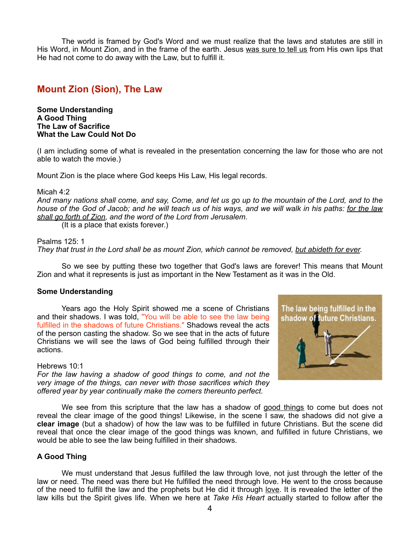The world is framed by God's Word and we must realize that the laws and statutes are still in His Word, in Mount Zion, and in the frame of the earth. Jesus was sure to tell us from His own lips that He had not come to do away with the Law, but to fulfill it.

## **Mount Zion (Sion), The Law**

**Some Understanding A Good Thing The Law of Sacrifice What the Law Could Not Do**

(I am including some of what is revealed in the presentation concerning the law for those who are not able to watch the movie.)

Mount Zion is the place where God keeps His Law, His legal records.

### Micah 4:2

*And many nations shall come, and say, Come, and let us go up to the mountain of the Lord, and to the house of the God of Jacob; and he will teach us of his ways, and we will walk in his paths: for the law shall go forth of Zion, and the word of the Lord from Jerusalem.*

(It is a place that exists forever.)

#### Psalms 125: 1

*They that trust in the Lord shall be as mount Zion, which cannot be removed, but abideth for ever.*

 So we see by putting these two together that God's laws are forever! This means that Mount Zion and what it represents is just as important in the New Testament as it was in the Old.

#### **Some Understanding**

 Years ago the Holy Spirit showed me a scene of Christians and their shadows. I was told, "You will be able to see the law being fulfilled in the shadows of future Christians." Shadows reveal the acts of the person casting the shadow. So we see that in the acts of future Christians we will see the laws of God being fulfilled through their actions.

#### Hebrews 10:1

*For the law having a shadow of good things to come, and not the very image of the things, can never with those sacrifices which they offered year by year continually make the comers thereunto perfect.*





 We see from this scripture that the law has a shadow of good things to come but does not reveal the clear image of the good things! Likewise, in the scene I saw, the shadows did not give a **clear image** (but a shadow) of how the law was to be fulfilled in future Christians. But the scene did reveal that once the clear image of the good things was known, and fulfilled in future Christians, we would be able to see the law being fulfilled in their shadows.

### **A Good Thing**

 We must understand that Jesus fulfilled the law through love, not just through the letter of the law or need. The need was there but He fulfilled the need through love. He went to the cross because of the need to fulfill the law and the prophets but He did it through love. It is revealed the letter of the law kills but the Spirit gives life. When we here at *Take His Heart* actually started to follow after the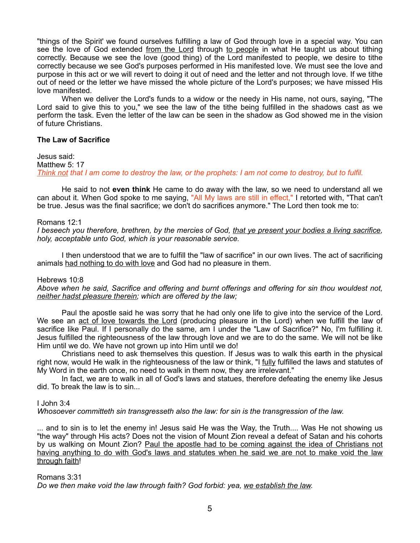"things of the Spirit' we found ourselves fulfilling a law of God through love in a special way. You can see the love of God extended from the Lord through to people in what He taught us about tithing correctly. Because we see the love (good thing) of the Lord manifested to people, we desire to tithe correctly because we see God's purposes performed in His manifested love. We must see the love and purpose in this act or we will revert to doing it out of need and the letter and not through love. If we tithe out of need or the letter we have missed the whole picture of the Lord's purposes; we have missed His love manifested.

 When we deliver the Lord's funds to a widow or the needy in His name, not ours, saying, "The Lord said to give this to you," we see the law of the tithe being fulfilled in the shadows cast as we perform the task. Even the letter of the law can be seen in the shadow as God showed me in the vision of future Christians.

### **The Law of Sacrifice**

Jesus said: Matthew 5: 17 *Think not that I am come to destroy the law, or the prophets: I am not come to destroy, but to fulfil.*

 He said to not **even think** He came to do away with the law, so we need to understand all we can about it. When God spoke to me saying, "All My laws are still in effect," I retorted with, "That can't be true. Jesus was the final sacrifice; we don't do sacrifices anymore." The Lord then took me to:

### Romans 12:1

*I beseech you therefore, brethren, by the mercies of God, that ye present your bodies a living sacrifice, holy, acceptable unto God, which is your reasonable service.*

 I then understood that we are to fulfill the "law of sacrifice" in our own lives. The act of sacrificing animals had nothing to do with love and God had no pleasure in them.

### Hebrews 10:8

*Above when he said, Sacrifice and offering and burnt offerings and offering for sin thou wouldest not, neither hadst pleasure therein; which are offered by the law;*

 Paul the apostle said he was sorry that he had only one life to give into the service of the Lord. We see an act of love towards the Lord (producing pleasure in the Lord) when we fulfill the law of sacrifice like Paul. If I personally do the same, am I under the "Law of Sacrifice?" No, I'm fulfilling it. Jesus fulfilled the righteousness of the law through love and we are to do the same. We will not be like Him until we do. We have not grown up into Him until we do!

 Christians need to ask themselves this question. If Jesus was to walk this earth in the physical right now, would He walk in the righteousness of the law or think, "I fully fulfilled the laws and statutes of My Word in the earth once, no need to walk in them now, they are irrelevant."

 In fact, we are to walk in all of God's laws and statues, therefore defeating the enemy like Jesus did. To break the law is to sin.

### I John 3:4

*Whosoever committeth sin transgresseth also the law: for sin is the transgression of the law.*

... and to sin is to let the enemy in! Jesus said He was the Way, the Truth.... Was He not showing us "the way" through His acts? Does not the vision of Mount Zion reveal a defeat of Satan and his cohorts by us walking on Mount Zion? Paul the apostle had to be coming against the idea of Christians not having anything to do with God's laws and statutes when he said we are not to make void the law through faith!

### Romans 3:31

*Do we then make void the law through faith? God forbid: yea, we establish the law.*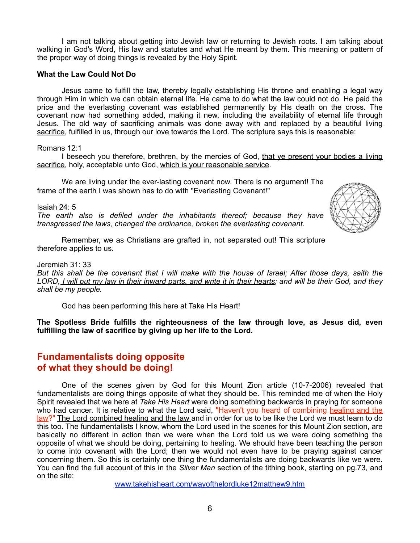I am not talking about getting into Jewish law or returning to Jewish roots. I am talking about walking in God's Word, His law and statutes and what He meant by them. This meaning or pattern of the proper way of doing things is revealed by the Holy Spirit.

### **What the Law Could Not Do**

 Jesus came to fulfill the law, thereby legally establishing His throne and enabling a legal way through Him in which we can obtain eternal life. He came to do what the law could not do. He paid the price and the everlasting covenant was established permanently by His death on the cross. The covenant now had something added, making it new, including the availability of eternal life through Jesus. The old way of sacrificing animals was done away with and replaced by a beautiful living sacrifice, fulfilled in us, through our love towards the Lord. The scripture says this is reasonable:

### Romans 12:1

 I beseech you therefore, brethren, by the mercies of God, that ye present your bodies a living sacrifice, holy, acceptable unto God, which is your reasonable service.

 We are living under the ever-lasting covenant now. There is no argument! The frame of the earth I was shown has to do with "Everlasting Covenant!"

Isaiah 24: 5

*The earth also is defiled under the inhabitants thereof; because they have transgressed the laws, changed the ordinance, broken the everlasting covenant.*



 Remember, we as Christians are grafted in, not separated out! This scripture therefore applies to us.

#### Jeremiah 31: 33

*But this shall be the covenant that I will make with the house of Israel; After those days, saith the LORD, I will put my law in their inward parts, and write it in their hearts; and will be their God, and they shall be my people.*

God has been performing this here at Take His Heart!

**The Spotless Bride fulfills the righteousness of the law through love, as Jesus did, even fulfilling the law of sacrifice by giving up her life to the Lord.**

## **Fundamentalists doing opposite of what they should be doing!**

 One of the scenes given by God for this Mount Zion article (10-7-2006) revealed that fundamentalists are doing things opposite of what they should be. This reminded me of when the Holy Spirit revealed that we here at *Take His Heart* were doing something backwards in praying for someone who had cancer. It is relative to what the Lord said, "Haven't you heard of combining healing and the law?" The Lord combined healing and the law and in order for us to be like the Lord we must learn to do this too. The fundamentalists I know, whom the Lord used in the scenes for this Mount Zion section, are basically no different in action than we were when the Lord told us we were doing something the opposite of what we should be doing, pertaining to healing. We should have been teaching the person to come into covenant with the Lord; then we would not even have to be praying against cancer concerning them. So this is certainly one thing the fundamentalists are doing backwards like we were. You can find the full account of this in the *Silver Man* section of the tithing book, starting on pg.73, and on the site:

[www.takehisheart.com/wayofthelordluke12matthew9.htm](http://www.takehisheart.com/wayofthelordluke12matthew9.htm)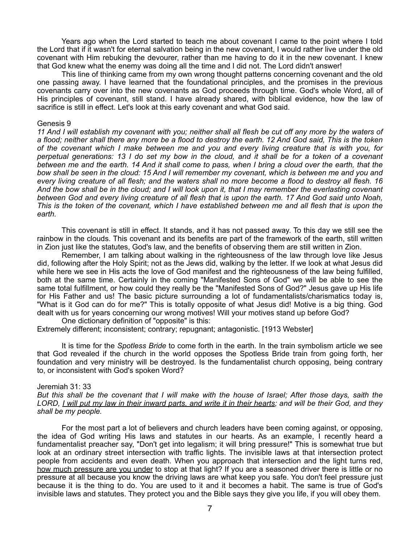Years ago when the Lord started to teach me about covenant I came to the point where I told the Lord that if it wasn't for eternal salvation being in the new covenant, I would rather live under the old covenant with Him rebuking the devourer, rather than me having to do it in the new covenant. I knew that God knew what the enemy was doing all the time and I did not. The Lord didn't answer!

 This line of thinking came from my own wrong thought patterns concerning covenant and the old one passing away. I have learned that the foundational principles, and the promises in the previous covenants carry over into the new covenants as God proceeds through time. God's whole Word, all of His principles of covenant, still stand. I have already shared, with biblical evidence, how the law of sacrifice is still in effect. Let's look at this early covenant and what God said.

#### Genesis 9

*11 And I will establish my covenant with you; neither shall all flesh be cut off any more by the waters of a flood; neither shall there any more be a flood to destroy the earth. 12 And God said, This is the token of the covenant which I make between me and you and every living creature that is with you, for perpetual generations: 13 I do set my bow in the cloud, and it shall be for a token of a covenant between me and the earth. 14 And it shall come to pass, when I bring a cloud over the earth, that the bow shall be seen in the cloud: 15 And I will remember my covenant, which is between me and you and every living creature of all flesh; and the waters shall no more become a flood to destroy all flesh. 16 And the bow shall be in the cloud; and I will look upon it, that I may remember the everlasting covenant between God and every living creature of all flesh that is upon the earth. 17 And God said unto Noah, This is the token of the covenant, which I have established between me and all flesh that is upon the earth.*

 This covenant is still in effect. It stands, and it has not passed away. To this day we still see the rainbow in the clouds. This covenant and its benefits are part of the framework of the earth, still written in Zion just like the statutes, God's law, and the benefits of observing them are still written in Zion.

 Remember, I am talking about walking in the righteousness of the law through love like Jesus did, following after the Holy Spirit; not as the Jews did, walking by the letter. If we look at what Jesus did while here we see in His acts the love of God manifest and the righteousness of the law being fulfilled, both at the same time. Certainly in the coming "Manifested Sons of God" we will be able to see the same total fulfillment, or how could they really be the "Manifested Sons of God?" Jesus gave up His life for His Father and us! The basic picture surrounding a lot of fundamentalists/charismatics today is, "What is it God can do for me?" This is totally opposite of what Jesus did! Motive is a big thing. God dealt with us for years concerning our wrong motives! Will your motives stand up before God?

 One dictionary definition of "opposite" is this: Extremely different; inconsistent; contrary; repugnant; antagonistic. [1913 Webster]

 It is time for the *Spotless Bride* to come forth in the earth. In the train symbolism article we see that God revealed if the church in the world opposes the Spotless Bride train from going forth, her foundation and very ministry will be destroyed. Is the fundamentalist church opposing, being contrary to, or inconsistent with God's spoken Word?

#### Jeremiah 31: 33

*But this shall be the covenant that I will make with the house of Israel; After those days, saith the LORD, I will put my law in their inward parts, and write it in their hearts; and will be their God, and they shall be my people.*

 For the most part a lot of believers and church leaders have been coming against, or opposing, the idea of God writing His laws and statutes in our hearts. As an example, I recently heard a fundamentalist preacher say, "Don't get into legalism; it will bring pressure!" This is somewhat true but look at an ordinary street intersection with traffic lights. The invisible laws at that intersection protect people from accidents and even death. When you approach that intersection and the light turns red, how much pressure are you under to stop at that light? If you are a seasoned driver there is little or no pressure at all because you know the driving laws are what keep you safe. You don't feel pressure just because it is the thing to do. You are used to it and it becomes a habit. The same is true of God's invisible laws and statutes. They protect you and the Bible says they give you life, if you will obey them.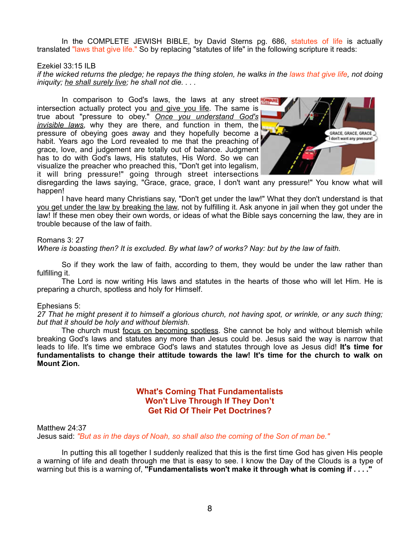In the COMPLETE JEWISH BIBLE, by David Sterns pg. 686, statutes of life is actually translated "laws that give life." So by replacing "statutes of life" in the following scripture it reads:

### Ezekiel 33:15 ILB

*if the wicked returns the pledge; he repays the thing stolen, he walks in the laws that give life, not doing iniquity; he shall surely live; he shall not die. . . .*

In comparison to God's laws, the laws at any street ROWAR intersection actually protect you and give you life. The same is true about "pressure to obey." *Once you understand God's invisible laws*, why they are there, and function in them, the pressure of obeying goes away and they hopefully become a habit. Years ago the Lord revealed to me that the preaching of grace, love, and judgement are totally out of balance. Judgment has to do with God's laws, His statutes, His Word. So we can visualize the preacher who preached this, "Don't get into legalism, it will bring pressure!" going through street intersections



disregarding the laws saying, "Grace, grace, grace, I don't want any pressure!" You know what will happen!

 I have heard many Christians say, "Don't get under the law!" What they don't understand is that you get under the law by breaking the law, not by fulfilling it. Ask anyone in jail when they got under the law! If these men obey their own words, or ideas of what the Bible says concerning the law, they are in trouble because of the law of faith.

#### Romans 3: 27

*Where is boasting then? It is excluded. By what law? of works? Nay: but by the law of faith.*

 So if they work the law of faith, according to them, they would be under the law rather than fulfilling it.

 The Lord is now writing His laws and statutes in the hearts of those who will let Him. He is preparing a church, spotless and holy for Himself.

#### Ephesians 5:

*27 That he might present it to himself a glorious church, not having spot, or wrinkle, or any such thing; but that it should be holy and without blemish.*

 The church must focus on becoming spotless. She cannot be holy and without blemish while breaking God's laws and statutes any more than Jesus could be. Jesus said the way is narrow that leads to life. It's time we embrace God's laws and statutes through love as Jesus did! **It's time for fundamentalists to change their attitude towards the law! It's time for the church to walk on Mount Zion.**

### **What's Coming That Fundamentalists Won't Live Through If They Don't Get Rid Of Their Pet Doctrines?**

Matthew 24:37

Jesus said: *"But as in the days of Noah, so shall also the coming of the Son of man be."*

 In putting this all together I suddenly realized that this is the first time God has given His people a warning of life and death through me that is easy to see. I know the Day of the Clouds is a type of warning but this is a warning of, **"Fundamentalists won't make it through what is coming if . . . ."**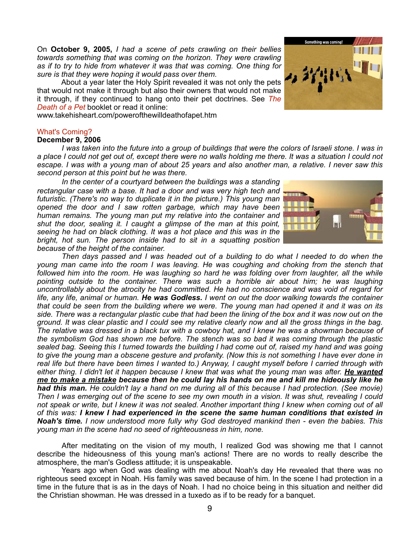On **October 9, 2005,** *I had a scene of pets crawling on their bellies towards something that was coming on the horizon. They were crawling as if to try to hide from whatever it was that was coming. One thing for sure is that they were hoping it would pass over them.*

 About a year later the Holy Spirit revealed it was not only the pets that would not make it through but also their owners that would not make it through, if they continued to hang onto their pet doctrines. See *The Death of a Pet* booklet or read it online:

www.takehisheart.com/powerofthewilldeathofapet.htm

### What's Coming?

### **December 9, 2006**

 *I was taken into the future into a group of buildings that were the colors of Israeli stone. I was in a place I could not get out of, except there were no walls holding me there. It was a situation I could not escape. I was with a young man of about 25 years and also another man, a relative. I never saw this second person at this point but he was there.*

 *In the center of a courtyard between the buildings was a standing rectangular case with a base. It had a door and was very high tech and futuristic. (There's no way to duplicate it in the picture.) This young man opened the door and I saw rotten garbage, which may have been human remains. The young man put my relative into the container and shut the door, sealing it. I caught a glimpse of the man at this point, seeing he had on black clothing. It was a hot place and this was in the bright, hot sun. The person inside had to sit in a squatting position because of the height of the container.* 

 *Then days passed and I was headed out of a building to do what I needed to do when the young man came into the room I was leaving. He was coughing and choking from the stench that followed him into the room. He was laughing so hard he was folding over from laughter, all the while pointing outside to the container. There was such a horrible air about him; he was laughing uncontrollably about the atrocity he had committed. He had no conscience and was void of regard for life, any life, animal or human. He was Godless. I went on out the door walking towards the container that could be seen from the building where we were. The young man had opened it and it was on its side. There was a rectangular plastic cube that had been the lining of the box and it was now out on the ground. It was clear plastic and I could see my relative clearly now and all the gross things in the bag. The relative was dressed in a black tux with a cowboy hat, and I knew he was a showman because of the symbolism God has shown me before. The stench was so bad it was coming through the plastic sealed bag. Seeing this I turned towards the building I had come out of, raised my hand and was going to give the young man a obscene gesture and profanity. (Now this is not something I have ever done in real life but there have been times I wanted to.) Anyway, I caught myself before I carried through with either thing. I didn't let it happen because I knew that was what the young man was after. He wanted me to make a mistake because then he could lay his hands on me and kill me hideously like he had this man. He couldn't lay a hand on me during all of this because I had protection. (See movie) Then I was emerging out of the scene to see my own mouth in a vision. It was shut, revealing I could not speak or write, but I knew it was not sealed. Another important thing I knew when coming out of all of this was: I knew I had experienced in the scene the same human conditions that existed in Noah's time. I now understood more fully why God destroyed mankind then - even the babies. This young man in the scene had no seed of righteousness in him, none.*

After meditating on the vision of my mouth, I realized God was showing me that I cannot describe the hideousness of this young man's actions! There are no words to really describe the atmosphere, the man's Godless attitude; it is unspeakable.

 Years ago when God was dealing with me about Noah's day He revealed that there was no righteous seed except in Noah. His family was saved because of him. In the scene I had protection in a time in the future that is as in the days of Noah. I had no choice being in this situation and neither did the Christian showman. He was dressed in a tuxedo as if to be ready for a banquet.

9



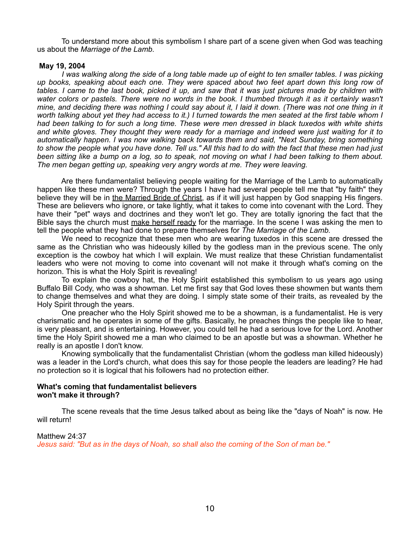To understand more about this symbolism I share part of a scene given when God was teaching us about the *Marriage of the Lamb.*

### **May 19, 2004**

 *I was walking along the side of a long table made up of eight to ten smaller tables. I was picking up books, speaking about each one. They were spaced about two feet apart down this long row of tables. I came to the last book, picked it up, and saw that it was just pictures made by children with*  water colors or pastels. There were no words in the book. I thumbed through it as it certainly wasn't *mine, and deciding there was nothing I could say about it, I laid it down. (There was not one thing in it worth talking about yet they had access to it.) I turned towards the men seated at the first table whom I had been talking to for such a long time. These were men dressed in black tuxedos with white shirts and white gloves. They thought they were ready for a marriage and indeed were just waiting for it to automatically happen. I was now walking back towards them and said, "Next Sunday, bring something to show the people what you have done. Tell us." All this had to do with the fact that these men had just been sitting like a bump on a log, so to speak, not moving on what I had been talking to them about. The men began getting up, speaking very angry words at me. They were leaving.*

 Are there fundamentalist believing people waiting for the Marriage of the Lamb to automatically happen like these men were? Through the years I have had several people tell me that "by faith" they believe they will be in the Married Bride of Christ, as if it will just happen by God snapping His fingers. These are believers who ignore, or take lightly, what it takes to come into covenant with the Lord. They have their "pet" ways and doctrines and they won't let go. They are totally ignoring the fact that the Bible says the church must make herself ready for the marriage. In the scene I was asking the men to tell the people what they had done to prepare themselves for *The Marriage of the Lamb.*

 We need to recognize that these men who are wearing tuxedos in this scene are dressed the same as the Christian who was hideously killed by the godless man in the previous scene. The only exception is the cowboy hat which I will explain. We must realize that these Christian fundamentalist leaders who were not moving to come into covenant will not make it through what's coming on the horizon. This is what the Holy Spirit is revealing!

 To explain the cowboy hat, the Holy Spirit established this symbolism to us years ago using Buffalo Bill Cody, who was a showman. Let me first say that God loves these showmen but wants them to change themselves and what they are doing. I simply state some of their traits, as revealed by the Holy Spirit through the years.

 One preacher who the Holy Spirit showed me to be a showman, is a fundamentalist. He is very charismatic and he operates in some of the gifts. Basically, he preaches things the people like to hear, is very pleasant, and is entertaining. However, you could tell he had a serious love for the Lord. Another time the Holy Spirit showed me a man who claimed to be an apostle but was a showman. Whether he really is an apostle I don't know.

 Knowing symbolically that the fundamentalist Christian (whom the godless man killed hideously) was a leader in the Lord's church, what does this say for those people the leaders are leading? He had no protection so it is logical that his followers had no protection either.

### **What's coming that fundamentalist believers won't make it through?**

The scene reveals that the time Jesus talked about as being like the "days of Noah" is now. He will return!

#### Matthew 24:37

*Jesus said: "But as in the days of Noah, so shall also the coming of the Son of man be."*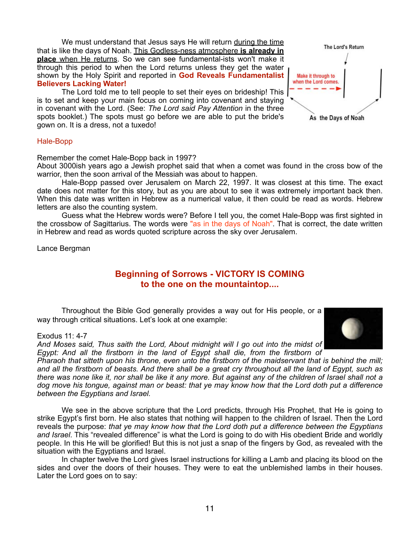We must understand that Jesus says He will return during the time that is like the days of Noah. This Godless-ness atmosphere **is already in place** when He returns. So we can see fundamental-ists won't make it through this period to when the Lord returns unless they get the water shown by the Holy Spirit and reported in **God Reveals Fundamentalist Believers Lacking Water!**

The Lord told me to tell people to set their eyes on brideship! This is to set and keep your main focus on coming into covenant and staying in covenant with the Lord. (See: *The Lord said Pay Attention* in the three spots booklet.) The spots must go before we are able to put the bride's gown on. It is a dress, not a tuxedo!



### Hale-Bopp

Remember the comet Hale-Bopp back in 1997?

About 3000ish years ago a Jewish prophet said that when a comet was found in the cross bow of the warrior, then the soon arrival of the Messiah was about to happen.

 Hale-Bopp passed over Jerusalem on March 22, 1997. It was closest at this time. The exact date does not matter for this story, but as you are about to see it was extremely important back then. When this date was written in Hebrew as a numerical value, it then could be read as words. Hebrew letters are also the counting system.

 Guess what the Hebrew words were? Before I tell you, the comet Hale-Bopp was first sighted in the crossbow of Sagittarius. The words were "as in the days of Noah". That is correct, the date written in Hebrew and read as words quoted scripture across the sky over Jerusalem.

Lance Bergman

### **Beginning of Sorrows - VICTORY IS COMING to the one on the mountaintop....**

 Throughout the Bible God generally provides a way out for His people, or a way through critical situations. Let's look at one example:

#### Exodus 11: 4-7

*And Moses said, Thus saith the Lord, About midnight will I go out into the midst of Egypt: And all the firstborn in the land of Egypt shall die, from the firstborn of* 

*Pharaoh that sitteth upon his throne, even unto the firstborn of the maidservant that is behind the mill; and all the firstborn of beasts. And there shall be a great cry throughout all the land of Egypt, such as there was none like it, nor shall be like it any more. But against any of the children of Israel shall not a dog move his tongue, against man or beast: that ye may know how that the Lord doth put a difference between the Egyptians and Israel.*

 We see in the above scripture that the Lord predicts, through His Prophet, that He is going to strike Egypt's first born. He also states that nothing will happen to the children of Israel. Then the Lord reveals the purpose: *that ye may know how that the Lord doth put a difference between the Egyptians and Israel*. This "revealed difference" is what the Lord is going to do with His obedient Bride and worldly people. In this He will be glorified! But this is not just a snap of the fingers by God, as revealed with the situation with the Egyptians and Israel.

 In chapter twelve the Lord gives Israel instructions for killing a Lamb and placing its blood on the sides and over the doors of their houses. They were to eat the unblemished lambs in their houses. Later the Lord goes on to say:

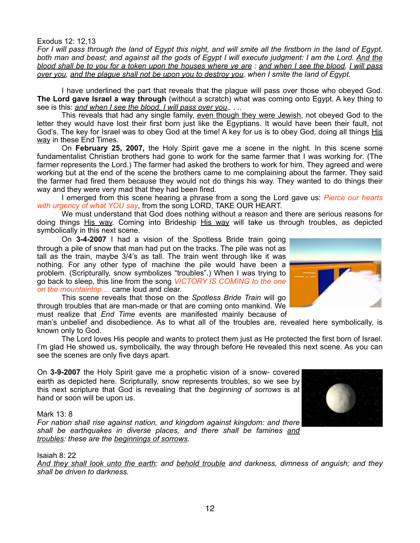### Exodus 12: 12,13

*For I will pass through the land of Egypt this night, and will smite all the firstborn in the land of Egypt, both man and beast; and against all the gods of Egypt I will execute judgment: I am the Lord. And the blood shall be to you for a token upon the houses where ye are : and when I see the blood, I will pass over you, and the plague shall not be upon you to destroy you, when I smite the land of Egypt.*

 I have underlined the part that reveals that the plague will pass over those who obeyed God. **The Lord gave Israel a way through** (without a scratch) what was coming onto Egypt. A key thing to see is this: *and when I see the blood, I will pass over you*,. . ..

 This reveals that had any single family, even though they were Jewish, not obeyed God to the letter they would have lost their first born just like the Egyptians. It would have been their fault, not God's. The key for Israel was to obey God at the time! A key for us is to obey God, doing all things His way in these End Times.

 On **February 25, 2007,** the Holy Spirit gave me a scene in the night. In this scene some fundamentalist Christian brothers had gone to work for the same farmer that I was working for. (The farmer represents the Lord.) The farmer had asked the brothers to work for him. They agreed and were working but at the end of the scene the brothers came to me complaining about the farmer. They said the farmer had fired them because they would not do things his way. They wanted to do things their way and they were very mad that they had been fired.

 I emerged from this scene hearing a phrase from a song the Lord gave us: *Pierce our hearts with urgency of what YOU say*, from the song LORD, TAKE OUR HEART.

 We must understand that God does nothing without a reason and there are serious reasons for doing things His way. Coming into Brideship His way will take us through troubles, as depicted symbolically in this next scene.

 On **3-4-2007** I had a vision of the Spotless Bride train going through a pile of snow that man had put on the tracks. The pile was not as tall as the train, maybe 3/4's as tall. The train went through like it was nothing. For any other type of machine the pile would have been a problem. (Scripturally, snow symbolizes "troubles".) When I was trying to go back to sleep, this line from the song *VICTORY IS COMING to the one on the mountaintop....* came loud and clear.

 This scene reveals that those on the *Spotless Bride Train* will go through troubles that are man-made or that are coming onto mankind. We must realize that *End Time* events are manifested mainly because of

man's unbelief and disobedience. As to what all of the troubles are, revealed here symbolically, is known only to God.

 The Lord loves His people and wants to protect them just as He protected the first born of Israel. I'm glad He showed us, symbolically, the way through before He revealed this next scene. As you can see the scenes are only five days apart.

On **3-9-2007** the Holy Spirit gave me a prophetic vision of a snow- covered earth as depicted here. Scripturally, snow represents troubles, so we see by this next scripture that God is revealing that the *beginning of sorrows* is at hand or soon will be upon us.

#### Mark 13: 8

*For nation shall rise against nation, and kingdom against kingdom: and there shall be earthquakes in diverse places, and there shall be famines and troubles: these are the beginnings of sorrows.*

### Isaiah 8: 22

*And they shall look unto the earth; and behold trouble and darkness, dimness of anguish; and they shall be driven to darkness.*



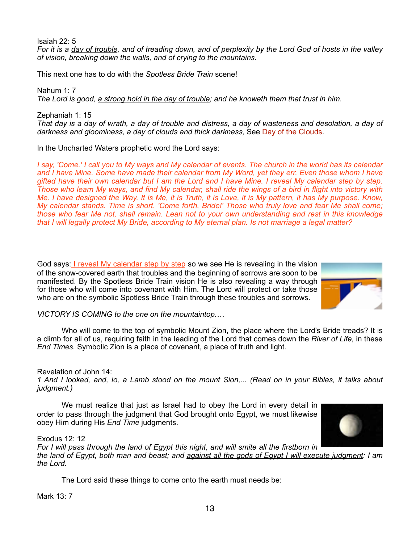Isaiah 22: 5 *For it is a day of trouble, and of treading down, and of perplexity by the Lord God of hosts in the valley of vision, breaking down the walls, and of crying to the mountains.*

This next one has to do with the *Spotless Bride Train* scene!

Nahum 1: 7 *The Lord is good, a strong hold in the day of trouble; and he knoweth them that trust in him.*

Zephaniah 1: 15 *That day is a day of wrath, a day of trouble and distress, a day of wasteness and desolation, a day of darkness and gloominess, a day of clouds and thick darkness,* See Day of the Clouds.

In the Uncharted Waters prophetic word the Lord says:

*I say, 'Come.' I call you to My ways and My calendar of events. The church in the world has its calendar and I have Mine. Some have made their calendar from My Word, yet they err. Even those whom I have gifted have their own calendar but I am the Lord and I have Mine. I reveal My calendar step by step. Those who learn My ways, and find My calendar, shall ride the wings of a bird in flight into victory with Me. I have designed the Way. It is Me, it is Truth, it is Love, it is My pattern, it has My purpose. Know, My calendar stands. Time is short. 'Come forth, Bride!' Those who truly love and fear Me shall come; those who fear Me not, shall remain. Lean not to your own understanding and rest in this knowledge that I will legally protect My Bride, according to My eternal plan. Is not marriage a legal matter?*

God says: *I reveal My calendar step by step* so we see He is revealing in the vision of the snow-covered earth that troubles and the beginning of sorrows are soon to be manifested. By the Spotless Bride Train vision He is also revealing a way through for those who will come into covenant with Him. The Lord will protect or take those who are on the symbolic Spotless Bride Train through these troubles and sorrows.



*VICTORY IS COMING to the one on the mountaintop.…*

 Who will come to the top of symbolic Mount Zion, the place where the Lord's Bride treads? It is a climb for all of us, requiring faith in the leading of the Lord that comes down the *River of Life,* in these *End Times.* Symbolic Zion is a place of covenant, a place of truth and light.

### Revelation of John 14:

*1 And I looked, and, lo, a Lamb stood on the mount Sion,... (Read on in your Bibles, it talks about judgment.)*

 We must realize that just as Israel had to obey the Lord in every detail in order to pass through the judgment that God brought onto Egypt, we must likewise obey Him during His *End Time* judgments.



*For I will pass through the land of Egypt this night, and will smite all the firstborn in the land of Egypt, both man and beast; and against all the gods of Egypt I will execute judgment: I am the Lord.*

The Lord said these things to come onto the earth must needs be:

Mark 13: 7

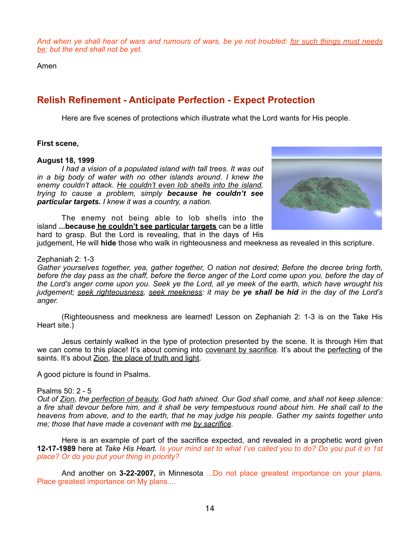*And when ye shall hear of wars and rumours of wars, be ye not troubled: for such things must needs be; but the end shall not be yet.*

Amen

## **Relish Refinement - Anticipate Perfection - Expect Protection**

Here are five scenes of protections which illustrate what the Lord wants for His people.

### **First scene,**

### **August 18, 1999**

*I had a vision of a populated island with tall trees. It was out in a big body of water with no other islands around. I knew the enemy couldn't attack. He couldn't even lob shells into the island, trying to cause a problem, simply because he couldn't see particular targets. I knew it was a country, a nation.*

 The enemy not being able to lob shells into the island **...because he couldn't see particular targets** can be a little hard to grasp. But the Lord is revealing, that in the days of His



judgement, He will **hide** those who walk in righteousness and meekness as revealed in this scripture.

### Zephaniah 2: 1-3

*Gather yourselves together, yea, gather together, O nation not desired; Before the decree bring forth, before the day pass as the chaff, before the fierce anger of the Lord come upon you, before the day of the Lord's anger come upon you. Seek ye the Lord, all ye meek of the earth, which have wrought his judgement; seek righteousness, seek meekness: it may be ye shall be hid in the day of the Lord's anger.*

 (Righteousness and meekness are learned! Lesson on Zephaniah 2: 1-3 is on the Take His Heart site.)

 Jesus certainly walked in the type of protection presented by the scene. It is through Him that we can come to this place! It's about coming into covenant by sacrifice. It's about the perfecting of the saints. It's about Zion, the place of truth and light.

A good picture is found in Psalms.

#### Psalms  $50:2-5$

*Out of Zion, the perfection of beauty, God hath shined. Our God shall come, and shall not keep silence: a fire shall devour before him, and it shall be very tempestuous round about him. He shall call to the heavens from above, and to the earth, that he may judge his people. Gather my saints together unto me; those that have made a covenant with me by sacrifice.*

 Here is an example of part of the sacrifice expected, and revealed in a prophetic word given **12-17-1989** here at *Take His Heart. Is your mind set to what I've called you to do? Do you put it in 1st place? Or do you put your thing in priority?*

And another on **3-22-2007,** in Minnesota ...Do not place greatest importance on your plans. Place greatest importance on My plans....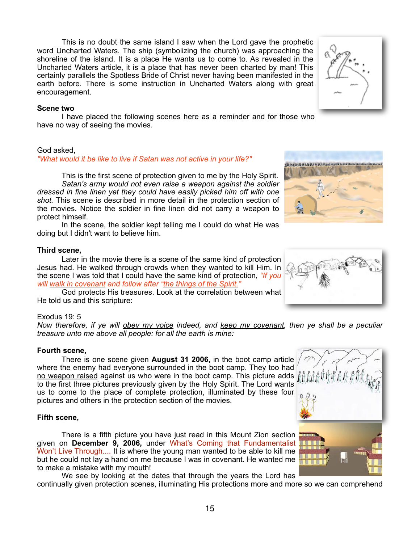This is no doubt the same island I saw when the Lord gave the prophetic word Uncharted Waters. The ship (symbolizing the church) was approaching the shoreline of the island. It is a place He wants us to come to. As revealed in the Uncharted Waters article, it is a place that has never been charted by man! This certainly parallels the Spotless Bride of Christ never having been manifested in the earth before. There is some instruction in Uncharted Waters along with great encouragement.

### **Scene two**

 I have placed the following scenes here as a reminder and for those who have no way of seeing the movies.

### God asked,

### *"What would it be like to live if Satan was not active in your life?"*

 This is the first scene of protection given to me by the Holy Spirit. *Satan's army would not even raise a weapon against the soldier dressed in fine linen yet they could have easily picked him off with one shot.* This scene is described in more detail in the protection section of the movies. Notice the soldier in fine linen did not carry a weapon to protect himself.

 In the scene, the soldier kept telling me I could do what He was doing but I didn't want to believe him.

### **Third scene,**

 Later in the movie there is a scene of the same kind of protection Jesus had. He walked through crowds when they wanted to kill Him. In the scene I was told that I could have the same kind of protection, *"If you will walk in covenant and follow after "the things of the Spirit."*

 God protects His treasures. Look at the correlation between what He told us and this scripture:

### Exodus 19: 5

*Now therefore, if ye will obey my voice indeed, and keep my covenant, then ye shall be a peculiar treasure unto me above all people: for all the earth is mine:*

### **Fourth scene,**

 There is one scene given **August 31 2006,** in the boot camp article where the enemy had everyone surrounded in the boot camp. They too had no weapon raised against us who were in the boot camp. This picture adds to the first three pictures previously given by the Holy Spirit. The Lord wants us to come to the place of complete protection, illuminated by these four pictures and others in the protection section of the movies.

### **Fifth scene,**

 There is a fifth picture you have just read in this Mount Zion section given on **December 9, 2006,** under What's Coming that Fundamentalist Won't Live Through.... It is where the young man wanted to be able to kill me but he could not lay a hand on me because I was in covenant. He wanted me to make a mistake with my mouth!

 We see by looking at the dates that through the years the Lord has continually given protection scenes, illuminating His protections more and more so we can comprehend



EN IN EXHAULT AN EN IN BALANT AN EN IN BARBAL IN BARBARY